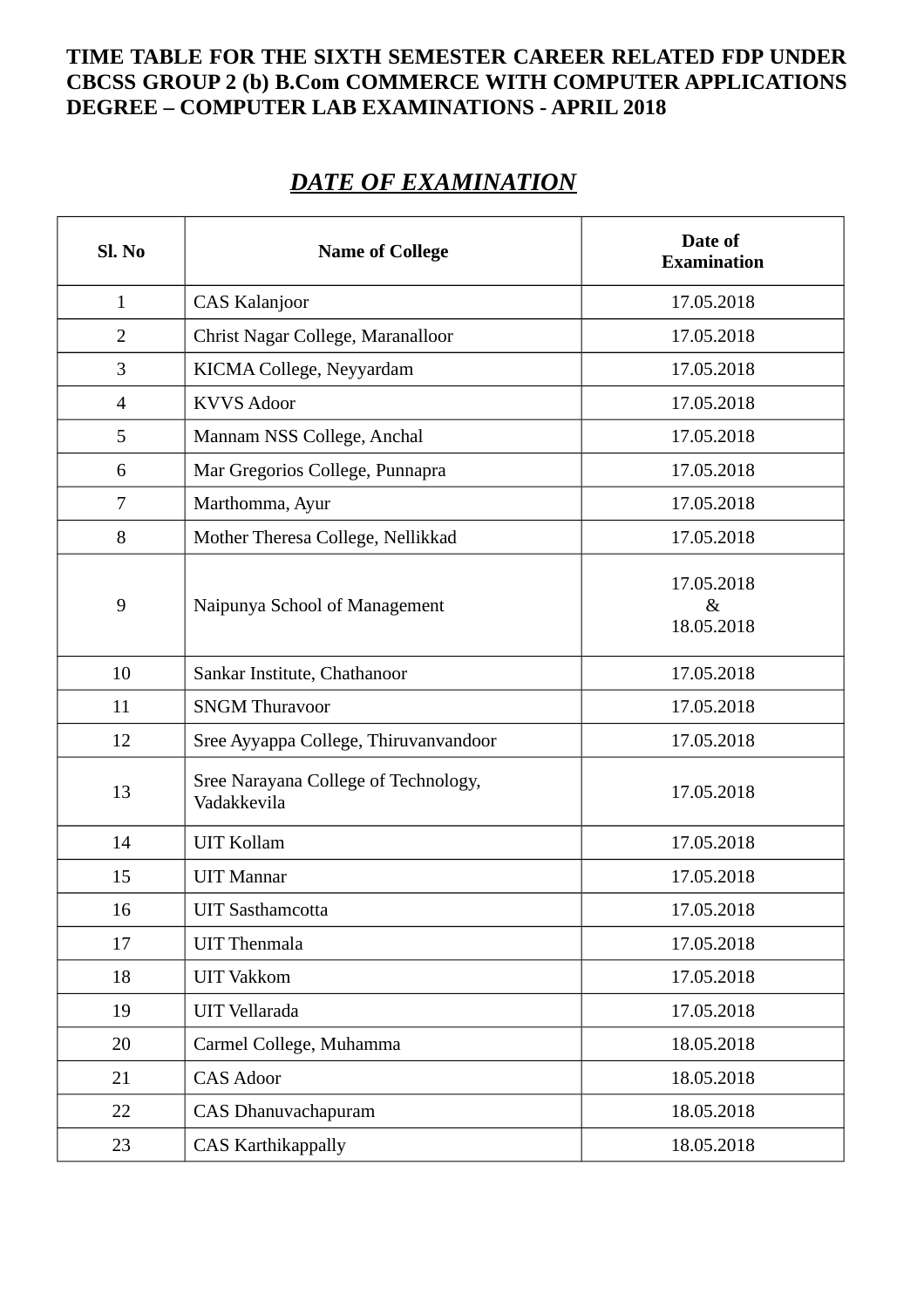## **TIME TABLE FOR THE SIXTH SEMESTER CAREER RELATED FDP UNDER CBCSS GROUP 2 (b) B.Com COMMERCE WITH COMPUTER APPLICATIONS DEGREE – COMPUTER LAB EXAMINATIONS - APRIL 2018**

## *DATE OF EXAMINATION*

| Sl. No         | <b>Name of College</b>                              | Date of<br><b>Examination</b> |
|----------------|-----------------------------------------------------|-------------------------------|
| $\mathbf{1}$   | <b>CAS Kalanjoor</b>                                | 17.05.2018                    |
| $\overline{2}$ | Christ Nagar College, Maranalloor                   | 17.05.2018                    |
| 3              | KICMA College, Neyyardam                            | 17.05.2018                    |
| 4              | <b>KVVS Adoor</b>                                   | 17.05.2018                    |
| 5              | Mannam NSS College, Anchal                          | 17.05.2018                    |
| 6              | Mar Gregorios College, Punnapra                     | 17.05.2018                    |
| 7              | Marthomma, Ayur                                     | 17.05.2018                    |
| 8              | Mother Theresa College, Nellikkad                   | 17.05.2018                    |
| 9              | Naipunya School of Management                       | 17.05.2018<br>&<br>18.05.2018 |
| 10             | Sankar Institute, Chathanoor                        | 17.05.2018                    |
| 11             | <b>SNGM Thuravoor</b>                               | 17.05.2018                    |
| 12             | Sree Ayyappa College, Thiruvanvandoor               | 17.05.2018                    |
| 13             | Sree Narayana College of Technology,<br>Vadakkevila | 17.05.2018                    |
| 14             | <b>UIT Kollam</b>                                   | 17.05.2018                    |
| 15             | <b>UIT Mannar</b>                                   | 17.05.2018                    |
| 16             | <b>UIT Sasthamcotta</b>                             | 17.05.2018                    |
| 17             | <b>UIT Thenmala</b>                                 | 17.05.2018                    |
| 18             | <b>UIT Vakkom</b>                                   | 17.05.2018                    |
| 19             | <b>UIT Vellarada</b>                                | 17.05.2018                    |
| 20             | Carmel College, Muhamma                             | 18.05.2018                    |
| 21             | <b>CAS Adoor</b>                                    | 18.05.2018                    |
| 22             | CAS Dhanuvachapuram                                 | 18.05.2018                    |
| 23             | <b>CAS Karthikappally</b>                           | 18.05.2018                    |